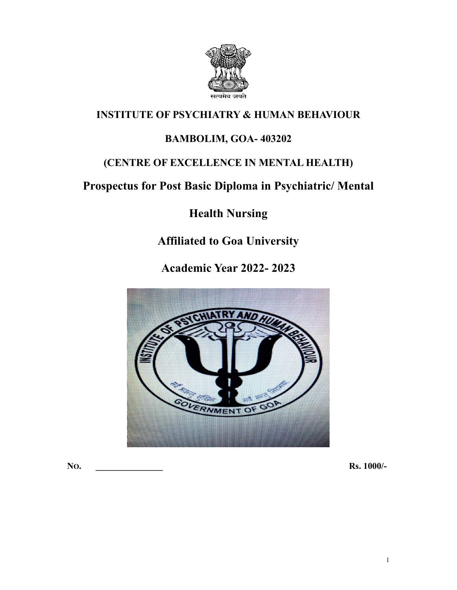

# **INSTITUTE OF PSYCHIATRY & HUMAN BEHAVIOUR**

# **BAMBOLIM, GOA- 403202**

# **(CENTRE OF EXCELLENCE IN MENTAL HEALTH)**

# **Prospectus for PostBasic Diploma in Psychiatric/Mental**

# **Health Nursing**

# **Affiliated toGoa University**

**Academic Year 2022- 2023**



**NO. \_\_\_\_\_\_\_\_\_\_\_\_\_\_\_ Rs. 1000/-**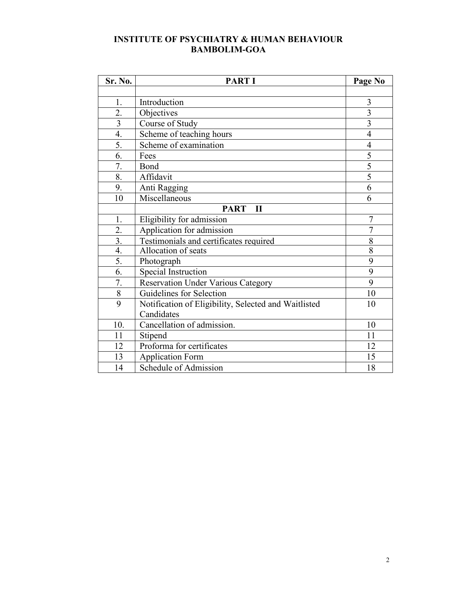### **INSTITUTE OF PSYCHIATRY & HUMAN BEHAVIOUR BAMBOLIM-GOA**

| Sr. No.          | <b>PART I</b>                                        | Page No                 |
|------------------|------------------------------------------------------|-------------------------|
|                  |                                                      |                         |
| 1.               | Introduction                                         | 3                       |
| 2.               | Objectives                                           | $\overline{\mathbf{3}}$ |
| $\overline{3}$   | Course of Study                                      | $\overline{\mathbf{3}}$ |
| $\overline{4}$ . | Scheme of teaching hours                             | $\overline{4}$          |
| 5.               | Scheme of examination                                | $\overline{4}$          |
| 6.               | Fees                                                 | 5                       |
| 7.               | Bond                                                 | 5                       |
| 8.               | Affidavit                                            | 5                       |
| 9.               | Anti Ragging                                         | 6                       |
| 10               | Miscellaneous                                        | 6                       |
|                  | <b>PART</b><br>$\mathbf{I}$                          |                         |
| 1.               | Eligibility for admission                            | 7                       |
| 2.               | Application for admission                            | 7                       |
| 3.               | Testimonials and certificates required               | 8                       |
| 4.               | Allocation of seats                                  | $\overline{8}$          |
| 5.               | Photograph                                           | 9                       |
| 6.               | <b>Special Instruction</b>                           | 9                       |
| 7.               | <b>Reservation Under Various Category</b>            | 9                       |
| $8\,$            | Guidelines for Selection                             | 10                      |
| 9                | Notification of Eligibility, Selected and Waitlisted | 10                      |
|                  | Candidates                                           |                         |
| 10.              | Cancellation of admission.                           | 10                      |
| 11               | Stipend                                              | 11                      |
| 12               | Proforma for certificates                            | 12                      |
| 13               | <b>Application Form</b>                              | 15                      |
| 14               | Schedule of Admission                                | 18                      |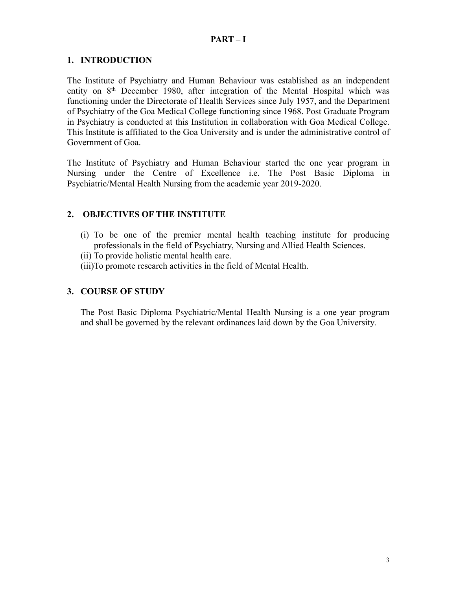### **PART – I**

### **1. INTRODUCTION**

The Institute of Psychiatry and Human Behaviour was established as an independent entity on 8<sup>th</sup> December 1980, after integration of the Mental Hospital which was functioning under the Directorate of Health Services since July 1957, and the Department of Psychiatry of the Goa Medical College functioning since 1968. Post Graduate Program in Psychiatry is conducted at this Institution in collaboration with Goa Medical College. This Institute is affiliated to the Goa University and is under the administrative control of Government of Goa.

The Institute of Psychiatry and Human Behaviour started the one year program in Nursing under the Centre of Excellence i.e. The Post Basic Diploma in Psychiatric/Mental Health Nursing from the academic year 2019-2020.

### **2. OBJECTIVES OF THE INSTITUTE**

- (i) To be one of the premier mental health teaching institute for producing professionals in the field of Psychiatry, Nursing and Allied Health Sciences.
- (ii) To provide holistic mental health care.
- (iii)To promote research activities in the field of Mental Health.

### **3. COURSE OF STUDY**

The Post Basic Diploma Psychiatric/Mental Health Nursing is a one year program and shall be governed by the relevant ordinances laid down by the Goa University.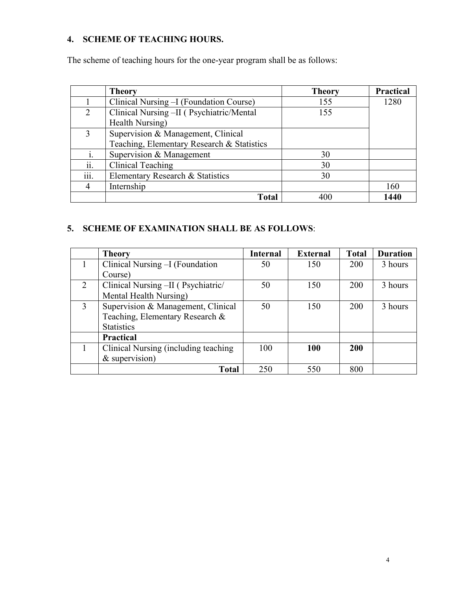## **4. SCHEME OF TEACHING HOURS.**

The scheme of teaching hours for the one-year program shall be as follows:

|      | <b>Theory</b>                              | <b>Theory</b> | Practical |
|------|--------------------------------------------|---------------|-----------|
|      | Clinical Nursing - I (Foundation Course)   | 155           | 1280      |
| 2    | Clinical Nursing -II ( Psychiatric/Mental  | 155           |           |
|      | Health Nursing)                            |               |           |
| 3    | Supervision & Management, Clinical         |               |           |
|      | Teaching, Elementary Research & Statistics |               |           |
|      | Supervision & Management                   | 30            |           |
| ii.  | Clinical Teaching                          | 30            |           |
| iii. | Elementary Research & Statistics           | 30            |           |
| 4    | Internship                                 |               | 160       |
|      | <b>Total</b>                               | 400           | 1440      |

## **5. SCHEME OF EXAMINATION SHALL BE AS FOLLOWS**:

|   | <b>Theory</b>                         | <b>Internal</b> | <b>External</b> | <b>Total</b> | <b>Duration</b> |
|---|---------------------------------------|-----------------|-----------------|--------------|-----------------|
|   | Clinical Nursing - I (Foundation      | 50              | 150             | <b>200</b>   | 3 hours         |
|   | Course)                               |                 |                 |              |                 |
| 2 | Clinical Nursing -II (Psychiatric/    | 50              | 150             | 200          | 3 hours         |
|   | Mental Health Nursing)                |                 |                 |              |                 |
| 3 | Supervision & Management, Clinical    | 50              | 150             | 200          | 3 hours         |
|   | Teaching, Elementary Research &       |                 |                 |              |                 |
|   | <b>Statistics</b>                     |                 |                 |              |                 |
|   | <b>Practical</b>                      |                 |                 |              |                 |
|   | Clinical Nursing (including teaching) | 100             | 100             | 200          |                 |
|   | $&$ supervision)                      |                 |                 |              |                 |
|   | <b>Total</b>                          | 250             | 550             | 800          |                 |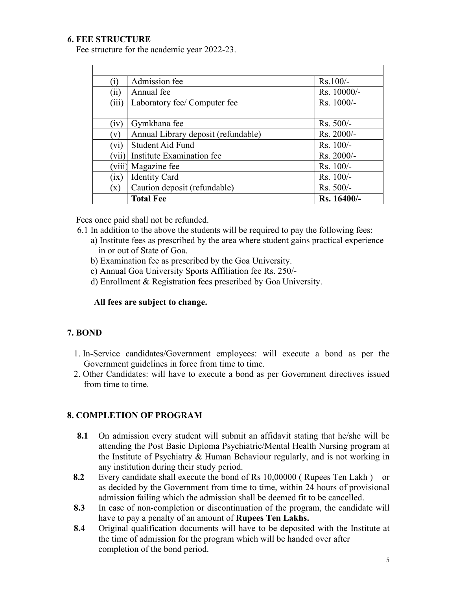### *6***. FEE STRUCTURE**

Fee structure for the academic year 2022-23.

| $\left( 1\right)$ | Admission fee                       | $Rs.100/-$   |
|-------------------|-------------------------------------|--------------|
| (11)              | Annual fee                          | Rs. 10000/-  |
| (iii)             | Laboratory fee/ Computer fee        | Rs. 1000/-   |
|                   |                                     |              |
| (iv)              | Gymkhana fee                        | $Rs. 500/-$  |
| $\mathbf{v}$      | Annual Library deposit (refundable) | $Rs. 2000/-$ |
| (vi)              | <b>Student Aid Fund</b>             | $Rs. 100/-$  |
| vii)              | Institute Examination fee           | Rs. 2000/-   |
| viii              | Magazine fee                        | $Rs. 100/-$  |
| (1X)              | <b>Identity Card</b>                | $Rs. 100/-$  |
| $(\mathbf{x})$    | Caution deposit (refundable)        | $Rs. 500/-$  |
|                   | <b>Total Fee</b>                    | Rs. 16400/-  |

Fees once paid shall not be refunded.

- 6.1 In addition to the above the students will be required to pay the following fees:
	- a) Institute fees as prescribed by the area where student gains practical experience in or out of State of Goa.
	- b) Examination fee as prescribed by the Goa University.
	- c) Annual Goa University Sports Affiliation fee Rs. 250/-
	- d) Enrollment & Registration fees prescribed by Goa University.

#### **All fees are subject to change.**

### **7. BOND**

- 1. In-Service candidates/Government employees: will execute a bond as per the Government guidelines in force from time to time.
- 2. Other Candidates: will have to execute a bond as per Government directives issued from time to time.

#### **8. COMPLETION OF PROGRAM**

- **8.1** On admission every student will submit an affidavit stating that he/she will be attending the Post Basic Diploma Psychiatric/Mental Health Nursing program at the Institute of Psychiatry & Human Behaviour regularly, and is not working in any institution during their study period.
- **8.2** Every candidate shall execute the bond of Rs 10,00000 ( Rupees Ten Lakh ) or as decided by the Government from time to time, within 24 hours of provisional admission failing which the admission shall be deemed fit to be cancelled.
- **8.3** In case of non-completion or discontinuation of the program, the candidate will have to pay a penalty of an amount of **Rupees Ten Lakhs.**
- **8.4** Original qualification documents will have to be deposited with the Institute at the time of admission for the program which will be handed over after completion of the bond period.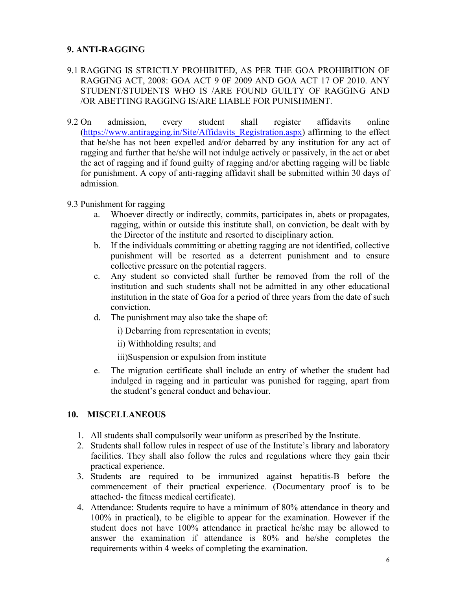### **9. ANTI-RAGGING**

- 9.1 RAGGING IS STRICTLY PROHIBITED, AS PER THE GOA PROHIBITION OF RAGGING ACT, 2008: GOA ACT 9 0F 2009 AND GOA ACT 17 OF 2010. ANY STUDENT/STUDENTS WHO IS /ARE FOUND GUILTY OF RAGGING AND /OR ABETTING RAGGING IS/ARE LIABLE FOR PUNISHMENT.
- 9.2 On admission, every student shall register affidavits online ([https://www.antiragging.in/Site/Affidavits\\_Registration.aspx](https://www.antiragging.in/Site/Affidavits_Registration.aspx)) affirming to the effect that he/she has not been expelled and/or debarred by any institution for any act of ragging and further that he/she will not indulge actively or passively, in the act or abet the act of ragging and if found guilty of ragging and/or abetting ragging will be liable for punishment. A copy of anti-ragging affidavit shall be submitted within 30 days of admission.
- 9.3 Punishment for ragging
	- a. Whoever directly or indirectly, commits, participates in, abets or propagates, ragging, within or outside this institute shall, on conviction, be dealt with by the Director of the institute and resorted to disciplinary action.
	- b. If the individuals committing or abetting ragging are not identified, collective punishment will be resorted as a deterrent punishment and to ensure collective pressure on the potential raggers.
	- c. Any student so convicted shall further be removed from the roll of the institution and such students shall not be admitted in any other educational institution in the state of Goa for a period of three years from the date of such conviction.
	- d. The punishment may also take the shape of:

i) Debarring from representation in events;

ii) Withholding results; and

iii)Suspension or expulsion from institute

e. The migration certificate shall include an entry of whether the student had indulged in ragging and in particular was punished for ragging, apart from the student's general conduct and behaviour.

### **10. MISCELLANEOUS**

- 1. All students shall compulsorily wear uniform as prescribed by the Institute.
- 2. Students shall follow rules in respect of use of the Institute's library and laboratory facilities. They shall also follow the rules and regulations where they gain their practical experience.
- 3. Students are required to be immunized against hepatitis-B before the commencement of their practical experience. (Documentary proof is to be attached- the fitness medical certificate).
- 4. Attendance: Students require to have a minimum of 80% attendance in theory and 100% in practical**)**, to be eligible to appear for the examination. However if the student does not have 100% attendance in practical he/she may be allowed to answer the examination if attendance is 80% and he/she completes the requirements within 4 weeks of completing the examination.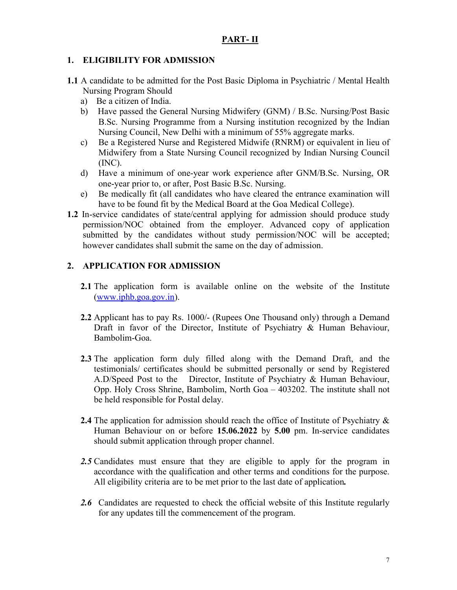### **PART- II**

### **1. ELIGIBILITY FOR ADMISSION**

- **1.1** A candidate to be admitted for the Post Basic Diploma in Psychiatric / Mental Health Nursing Program Should
	- a) Be a citizen of India.
	- b) Have passed the General Nursing Midwifery (GNM) / B.Sc. Nursing/Post Basic B.Sc. Nursing Programme from a Nursing institution recognized by the Indian Nursing Council, New Delhi with a minimum of 55% aggregate marks.
	- c) Be a Registered Nurse and Registered Midwife (RNRM) or equivalent in lieu of Midwifery from a State Nursing Council recognized by Indian Nursing Council (INC).
	- d) Have a minimum of one-year work experience after GNM/B.Sc. Nursing, OR one-year prior to, or after, Post Basic B.Sc. Nursing.
	- e) Be medically fit (all candidates who have cleared the entrance examination will have to be found fit by the Medical Board at the Goa Medical College).
- **1.2** In-service candidates of state/central applying for admission should produce study permission/NOC obtained from the employer. Advanced copy of application submitted by the candidates without study permission/NOC will be accepted; however candidates shall submit the same on the day of admission.

### **2. APPLICATION FOR ADMISSION**

- **2.1** The application form is available online on the website of the Institute ([www.iphb.goa.gov.in](http://www.iphb.goa.gov.in/)).
- **2.2** Applicant has to pay Rs. 1000/- (Rupees One Thousand only) through a Demand Draft in favor of the Director, Institute of Psychiatry & Human Behaviour, Bambolim-Goa.
- **2.3** The application form duly filled along with the Demand Draft, and the testimonials/ certificates should be submitted personally or send by Registered A.D/Speed Post to the Director, Institute of Psychiatry  $\&$  Human Behaviour, Opp. Holy Cross Shrine, Bambolim, North Goa  $-403202$ . The institute shall not be held responsible for Postal delay.
- 2.4 The application for admission should reach the office of Institute of Psychiatry  $\&$ Human Behaviour on or before **15.06.2022** by **5.00** pm. In-service candidates should submit application through proper channel.
- 2.5 Candidates must ensure that they are eligible to apply for the program in accordance with the qualification and other terms and conditions for the purpose.All eligibility criteria are to be met prior to the last date of application*.*
- 2.6 Candidates are requested to check the official website of this Institute regularly for any updates till the commencement of the program.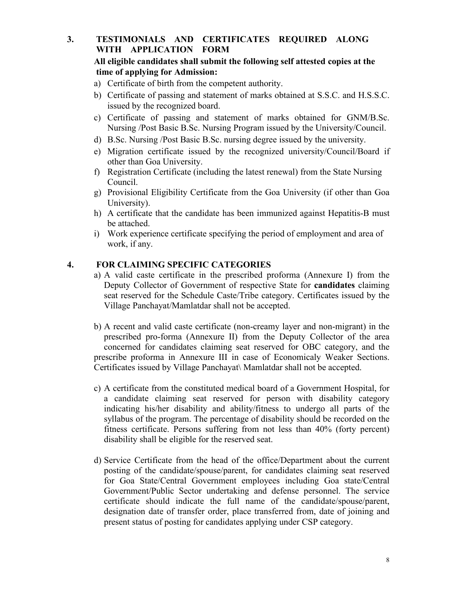### **3. TESTIMONIALS AND CERTIFICATES REQUIRED ALONG WITH APPLICATION FORM**

### **All eligible candidates shall submit the following self attested copies atthe time of applying for Admission:**

- a) Certificate of birth from the competent authority.
- b) Certificate of passing and statement of marks obtained at S.S.C. and H.S.S.C. issued by the recognized board.
- c) Certificate of passing and statement of marks obtained for GNM/B.Sc. Nursing /Post Basic B.Sc. Nursing Program issued by the University/Council.
- d) B.Sc. Nursing /Post Basic B.Sc. nursing degree issued by the university.
- e) Migration certificate issued by the recognized university/Council/Board if other than Goa University.
- f) Registration Certificate (including the latest renewal) from the State Nursing Council.
- g) Provisional Eligibility Certificate from the Goa University (if other than Goa University).
- h) A certificate that the candidate has been immunized against Hepatitis-B must be attached.
- i) Work experience certificate specifying the period of employment and area of work, if any.

### **4. FOR CLAIMING SPECIFIC CATEGORIES**

- a) A valid caste certificate in the prescribed proforma (Annexure I) from the Deputy Collector of Government of respective State for **candidates** claiming seat reserved for the Schedule Caste/Tribe category. Certificates issued by the Village Panchayat/Mamlatdar shall not be accepted.
- b) A recent and valid caste certificate (non-creamy layer and non-migrant) in the prescribed pro-forma (Annexure II) from the Deputy Collector of the area concerned for candidates claiming seat reserved for OBC category, and the prescribe proforma in Annexure III in case of Economicaly Weaker Sections. Certificates issued by Village Panchayat\ Mamlatdar shall not be accepted.
- c) A certificate from the constituted medical board of a Government Hospital, for a candidate claiming seat reserved for person with disability category indicating his/her disability and ability/fitness to undergo all parts of the syllabus of the program. The percentage of disability should be recorded on the fitness certificate. Persons suffering from not less than 40% (forty percent) disability shall be eligible for the reserved seat.
- d) Service Certificate from the head of the office/Department about the current posting of the candidate/spouse/parent, for candidates claiming seat reserved for Goa State/Central Government employees including Goa state/Central Government/Public Sector undertaking and defense personnel. The service certificate should indicate the full name of the candidate/spouse/parent, designation date of transfer order, place transferred from, date of joining and present status of posting for candidates applying under CSP category.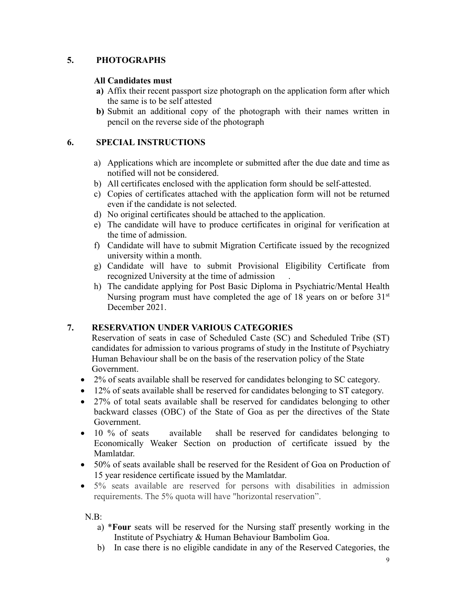### **5. PHOTOGRAPHS**

### **All Candidates must**

- **a)** Affix their recent passport size photograph on the application form after which the same is to be self attested
- **b)** Submit an additional copy of the photograph with their names written in pencil on the reverse side of the photograph

### **6. SPECIAL INSTRUCTIONS**

- a) Applications which are incomplete or submitted after the due date and time as notified will not be considered.
- b) All certificates enclosed with the application form should be self-attested.
- c) Copies of certificates attached with the application form will not be returned even if the candidate is not selected.
- d) No original certificates should be attached to the application.
- e) The candidate will have to produce certificates in original for verification at the time of admission.
- f) Candidate will have to submit Migration Certificate issued by the recognized university within a month.
- g) Candidate will have to submit Provisional Eligibility Certificate from recognized University at the time of admission .
- h) The candidate applying for Post Basic Diploma in Psychiatric/Mental Health Nursing program must have completed the age of 18 years on or before 31<sup>st</sup> December 2021.

### **7. RESERVATION UNDER VARIOUS CATEGORIES**

Reservation of seats in case of Scheduled Caste (SC) and Scheduled Tribe (ST) candidates for admission to various programs of study in the Institute of Psychiatry Human Behaviour shall be on the basis of the reservation policy of the State Government.

- 2% of seats available shall be reserved for candidates belonging to SC category.
- 12% of seats available shall be reserved for candidates belonging to ST category.
- 27% of total seats available shall be reserved for candidates belonging to other backward classes (OBC) of the State of Goa as per the directives of the State Government.
- 10 % of seats available shall be reserved for candidates belonging to Economically Weaker Section on production of certificate issued by the Mamlatdar.
- 50% of seats available shall be reserved for the Resident of Goa on Production of 15 year residence certificate issued by the Mamlatdar.
- 5% seats available are reserved for persons with disabilities in admission requirements. The 5% quota will have "horizontal reservation".

 $N.B.$ 

- a) \***Four** seats will be reserved for the Nursing staff presently working in the Institute of Psychiatry & Human Behaviour Bambolim Goa.
- b) In case there is no eligible candidate in any of the Reserved Categories, the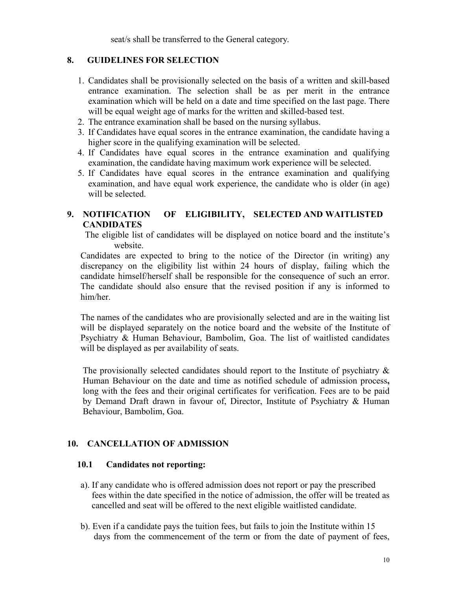seat/s shall be transferred to the General category.

### **8. GUIDELINES FOR SELECTION**

- 1. Candidates shall be provisionally selected on the basis of a written and skill-based entrance examination. The selection shall be as per merit in the entrance examination which will be held on a date and time specified on the last page. There will be equal weight age of marks for the written and skilled-based test.
- 2. The entrance examination shall be based on the nursing syllabus.
- 3. If Candidates have equal scores in the entrance examination, the candidate having a higher score in the qualifying examination will be selected.<br>4. If Candidates have equal scores in the entrance examination and qualifying
- examination, the candidate having maximum work experience will be selected.
- 5. If Candidates have equal scores in the entrance examination and qualifying examination, and have equal work experience, the candidate who is older (in age) will be selected.

### **9. NOTIFICATION OF ELIGIBILITY, SELECTED AND WAITLISTED CANDIDATES**

The eligible list of candidates will be displayed on notice board and the institute's website.

Candidates are expected to bring to the notice of the Director (in writing) any discrepancy on the eligibility list within 24 hours of display, failing which the candidate himself/herself shall be responsible for the consequence of such an error. The candidate should also ensure that the revised position if any is informed to him/her.

The names of the candidates who are provisionally selected and are in the waiting list will be displayed separately on the notice board and the website of the Institute of Psychiatry & Human Behaviour, Bambolim, Goa. The list of waitlisted candidates will be displayed as per availability of seats.

The provisionally selected candidates should report to the Institute of psychiatry  $\&$ Human Behaviour on the date and time as notified schedule of admission process**,** long with the fees and their original certificates for verification. Fees are to be paid by Demand Draft drawn in favour of, Director, Institute of Psychiatry & Human Behaviour, Bambolim, Goa.

### **10. CANCELLATION OF ADMISSION**

### **10.1 Candidates not reporting:**

- a). If any candidate who is offered admission does not report or pay the prescribed fees within the date specified in the notice of admission, the offer will be treated as cancelled and seat will be offered to the next eligible waitlisted candidate.
- b). Even if a candidate pays the tuition fees, but fails to join the Institute within 15 days from the commencement of the term or from the date of payment of fees,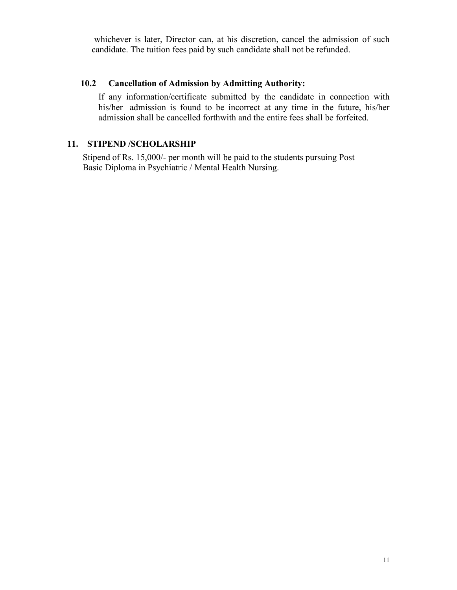whichever is later, Director can, at his discretion, cancel the admission of such candidate. The tuition fees paid by such candidate shall not be refunded.

### **10.2 Cancellation of Admission by Admitting Authority:**

If any information/certificate submitted by the candidate in connection with his/her admission is found to be incorrect at any time in the future, his/her admission shall be cancelled forthwith and the entire fees shall be forfeited.

### **11. STIPEND /SCHOLARSHIP**

Stipend of Rs. 15,000/- per month will be paid to the students pursuing Post Basic Diploma in Psychiatric / Mental Health Nursing.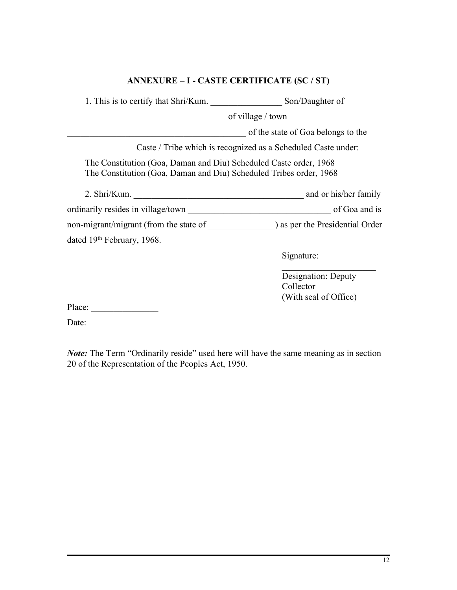### **ANNEXURE – I - CASTE CERTIFICATE (SC / ST)**

| 1. This is to certify that Shri/Kum.                                                                                                    | Son/Daughter of                                               |
|-----------------------------------------------------------------------------------------------------------------------------------------|---------------------------------------------------------------|
|                                                                                                                                         | of village / town                                             |
|                                                                                                                                         | of the state of Goa belongs to the                            |
|                                                                                                                                         | Caste / Tribe which is recognized as a Scheduled Caste under: |
| The Constitution (Goa, Daman and Diu) Scheduled Caste order, 1968<br>The Constitution (Goa, Daman and Diu) Scheduled Tribes order, 1968 |                                                               |
|                                                                                                                                         |                                                               |
|                                                                                                                                         |                                                               |
|                                                                                                                                         |                                                               |
| dated 19th February, 1968.                                                                                                              |                                                               |
|                                                                                                                                         | Signature:                                                    |
|                                                                                                                                         | Designation: Deputy                                           |
|                                                                                                                                         | Collector                                                     |
| Place:                                                                                                                                  | (With seal of Office)                                         |
| Date:                                                                                                                                   |                                                               |

*Note:* The Term "Ordinarily reside" used here will have the same meaning as in section 20 of the Representation of the Peoples Act, 1950.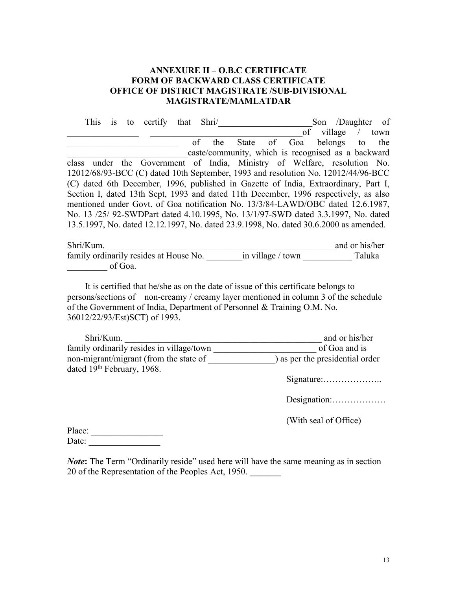### **ANNEXURE II – O.B.C CERTIFICATE FORM OF BACKWARD CLASS CERTIFICATE OFFICE OF DISTRICT MAGISTRATE /SUB-DIVISIONAL MAGISTRATE/MAMLATDAR**

| to certify that Shri/<br>This is                                                      | Son /Daughter of                                   |
|---------------------------------------------------------------------------------------|----------------------------------------------------|
|                                                                                       | village<br>of<br>town                              |
| the<br>of                                                                             | State of Goa belongs<br>the<br>to                  |
|                                                                                       | caste/community, which is recognised as a backward |
| class under the Government of India, Ministry of Welfare, resolution No.              |                                                    |
| 12012/68/93-BCC (C) dated 10th September, 1993 and resolution No. 12012/44/96-BCC     |                                                    |
| (C) dated 6th December, 1996, published in Gazette of India, Extraordinary, Part I,   |                                                    |
| Section I, dated 13th Sept, 1993 and dated 11th December, 1996 respectively, as also  |                                                    |
| mentioned under Govt. of Goa notification No. 13/3/84-LAWD/OBC dated 12.6.1987,       |                                                    |
| No. 13 /25/ 92-SWDPart dated 4.10.1995, No. 13/1/97-SWD dated 3.3.1997, No. dated     |                                                    |
| 13.5.1997, No. dated 12.12.1997, No. dated 23.9.1998, No. dated 30.6.2000 as amended. |                                                    |
|                                                                                       |                                                    |

| Shri/Kum.                              |                     | and or his/her |  |
|----------------------------------------|---------------------|----------------|--|
| family ordinarily resides at House No. | in village $/$ town | Taluka         |  |
| of Goa.                                |                     |                |  |

It is certified that he/she as on the date of issue of this certificate belongs to persons/sections of non-creamy / creamy layer mentioned in column 3 of the schedule of the Government of India, Department of Personnel & Training O.M. No. 36012/22/93/Est)SCT) of 1993.

| Shri/Kum.                                 | and or his/her                  |
|-------------------------------------------|---------------------------------|
| family ordinarily resides in village/town | of Goa and is                   |
| non-migrant/migrant (from the state of    | ) as per the presidential order |
| dated 19th February, 1968.                |                                 |
|                                           |                                 |

Designation:………………

(With seal of Office)

| Place: |  |  |  |
|--------|--|--|--|
| Date:  |  |  |  |

*Note*: The Term "Ordinarily reside" used here will have the same meaning as in section 20 of the Representation of the Peoples Act, 1950. **\_\_\_\_\_\_\_**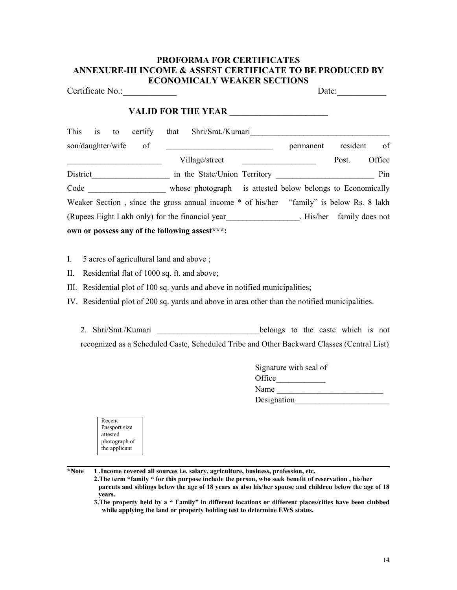#### **PROFORMA FOR CERTIFICATES ANNEXURE-III INCOME & ASSEST CERTIFICATE TO BE PRODUCED BY ECONOMICALY WEAKER SECTIONS**

Certificate No.: Date: **VALID FOR THE YEAR \_\_\_\_\_\_\_\_\_\_\_\_\_\_\_\_\_\_\_\_\_\_** This is to certify that Shri/Smt./Kumari son/daughter/wife of permanent resident of Village/street Post. Office District\_\_\_\_\_\_\_\_\_\_\_\_\_\_\_\_\_\_\_ in the State/Union Territory \_\_\_\_\_\_\_\_\_\_\_\_\_\_\_\_\_\_\_\_\_\_\_\_ Pin Code whose photograph is attested below belongs to Economically Weaker Section, since the gross annual income \* of his/her "family" is below Rs. 8 lakh (Rupees Eight Lakh only) for the financial year\_\_\_\_\_\_\_\_\_\_\_\_\_\_\_\_\_\_. His/her family does not **own or possess any of the following assest\*\*\*:**

I.  $5$  acres of agricultural land and above ;

II. Residential flat of 1000 sq. ft. and above;

III. Residential plot of 100 sq. yards and above in notified municipalities;

IV. Residential plot of 200 sq. yards and above in area other than the notified municipalities.

2. Shri/Smt./Kumari belongs to the caste which is not recognized as a Scheduled Caste, Scheduled Tribe and Other Backward Classes (Central List)

| Signature with seal of |  |
|------------------------|--|
| Office                 |  |
| Name                   |  |
| Designation            |  |

| Recent        |  |
|---------------|--|
| Passport size |  |
| attested      |  |
| photograph of |  |
| the applicant |  |
|               |  |

**\*Note 1 .Income covered all sources i.e. salary, agriculture, business, profession, etc.**

**2.The term "family " for this purpose include the person, who seek benefit ofreservation , his/her** parents and siblings below the age of 18 years as also his/her spouse and children below the age of 18 **years.**

**3.The property held by a " Family" in different locations or different places/cities have been clubbed while applying the land or property holding test to determine EWS status.**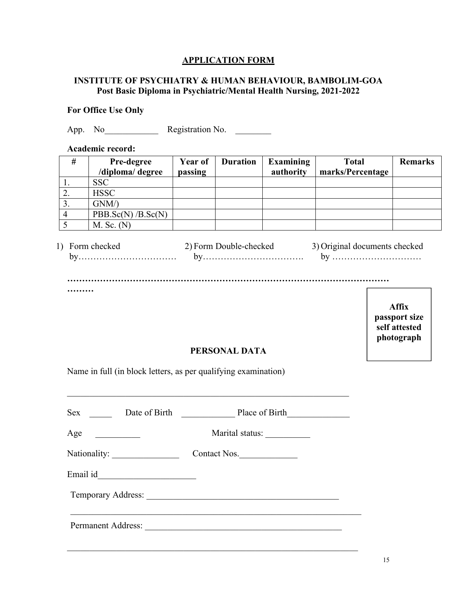### **APPLICATION FORM**

### **INSTITUTE OF PSYCHIATRY & HUMAN BEHAVIOUR, BAMBOLIM-GOA Post Basic Diploma in Psychiatric/Mental Health Nursing, 2021-2022**

### **For Office Use Only**

App. No<sub>ll</sub> Registration No.

**Academic record:**

| $^{\#}$ | <b>Pre-degree</b> | Year of | <b>Duration</b> | Examining | <b>Total</b>     | <b>Remarks</b> |
|---------|-------------------|---------|-----------------|-----------|------------------|----------------|
|         | /diploma/ degree  | passing |                 | authority | marks/Percentage |                |
|         | <b>SSC</b>        |         |                 |           |                  |                |
| ∠.      | <b>HSSC</b>       |         |                 |           |                  |                |
| J.      | GNM/              |         |                 |           |                  |                |
|         | PBB.Sc(N)/B.Sc(N) |         |                 |           |                  |                |
|         | $M.$ Sc. $(N)$    |         |                 |           |                  |                |

| Form checked | 2) Form Double-checked | 3) Original documents checked |
|--------------|------------------------|-------------------------------|
|              |                        |                               |
|              |                        |                               |
|              |                        |                               |

**Affix passport size self attested photograph**

#### **PERSONAL DATA**

 $\_$  ,  $\_$  ,  $\_$  ,  $\_$  ,  $\_$  ,  $\_$  ,  $\_$  ,  $\_$  ,  $\_$  ,  $\_$  ,  $\_$  ,  $\_$  ,  $\_$  ,  $\_$  ,  $\_$  ,  $\_$  ,  $\_$  ,  $\_$  ,  $\_$  ,  $\_$  ,  $\_$  ,  $\_$  ,  $\_$  ,  $\_$  ,  $\_$  ,  $\_$  ,  $\_$  ,  $\_$  ,  $\_$  ,  $\_$  ,  $\_$  ,  $\_$  ,  $\_$  ,  $\_$  ,  $\_$  ,  $\_$  ,  $\_$  ,

Name in full (in block letters, as per qualifying examination)

**………**

|     |                                | Sex Date of Birth Place of Birth |  |
|-----|--------------------------------|----------------------------------|--|
| Age |                                | Marital status:                  |  |
|     | Nationality: _________________ | Contact Nos.                     |  |
|     |                                |                                  |  |
|     |                                |                                  |  |
|     |                                | Permanent Address:               |  |

 $\_$  , and the set of the set of the set of the set of the set of the set of the set of the set of the set of the set of the set of the set of the set of the set of the set of the set of the set of the set of the set of th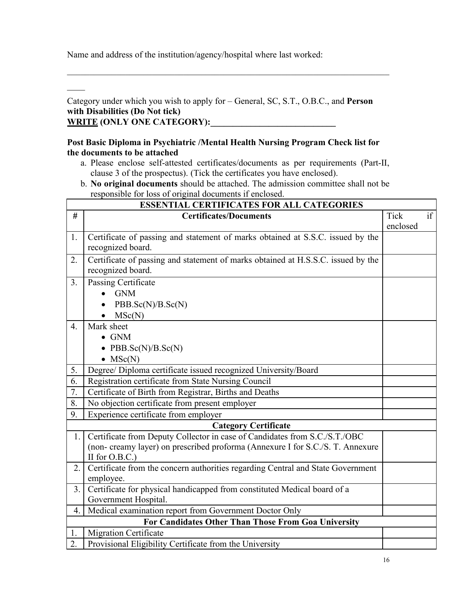Name and address of the institution/agency/hospital where last worked:

 $\frac{1}{2}$  ,  $\frac{1}{2}$  ,  $\frac{1}{2}$  ,  $\frac{1}{2}$  ,  $\frac{1}{2}$  ,  $\frac{1}{2}$  ,  $\frac{1}{2}$  ,  $\frac{1}{2}$  ,  $\frac{1}{2}$ 

Category under which you wish to apply for – General, SC, S.T., O.B.C., and **Person with Disabilities (Do Not tick)** WRITE **(ONLY ONE CATEGORY):** 

### **Post Basic Diploma in Psychiatric /Mental Health Nursing Program Check list for the documents to be attached**

a. Please enclose self-attested certificates/documents as per requirements (Part-II, clause 3 of the prospectus). (Tick the certificates you have enclosed).

 $\_$  , and the contribution of the contribution of the contribution of the contribution of  $\mathcal{L}_1$ 

b. **No original documents** should be attached. The admission committee shall not be responsible for loss of original documents if enclosed.

|                  | <b>ESSENTIAL CERTIFICATES FOR ALL CATEGORIES</b>                                                                                                                                  |                         |    |
|------------------|-----------------------------------------------------------------------------------------------------------------------------------------------------------------------------------|-------------------------|----|
| #                | <b>Certificates/Documents</b>                                                                                                                                                     | <b>Tick</b><br>enclosed | if |
| 1.               | Certificate of passing and statement of marks obtained at S.S.C. issued by the<br>recognized board.                                                                               |                         |    |
| 2.               | Certificate of passing and statement of marks obtained at H.S.S.C. issued by the<br>recognized board.                                                                             |                         |    |
| 3 <sub>1</sub>   | Passing Certificate<br><b>GNM</b><br>$\bullet$<br>PBB.Sc(N)/B.Sc(N)<br>MSc(N)                                                                                                     |                         |    |
| $\overline{4}$ . | Mark sheet<br>$\bullet$ GNM<br>• PBB.Sc $(N)/B$ .Sc $(N)$<br>$\bullet$ MSc(N)                                                                                                     |                         |    |
| 5.               | Degree/ Diploma certificate issued recognized University/Board                                                                                                                    |                         |    |
| 6.               | Registration certificate from State Nursing Council                                                                                                                               |                         |    |
| 7.               | Certificate of Birth from Registrar, Births and Deaths                                                                                                                            |                         |    |
| 8.               | No objection certificate from present employer                                                                                                                                    |                         |    |
| 9.               | Experience certificate from employer                                                                                                                                              |                         |    |
|                  | <b>Category Certificate</b>                                                                                                                                                       |                         |    |
| 1.               | Certificate from Deputy Collector in case of Candidates from S.C./S.T./OBC<br>(non- creamy layer) on prescribed proforma (Annexure I for S.C./S. T. Annexure<br>II for $O.B.C.$ ) |                         |    |
| 2.               | Certificate from the concern authorities regarding Central and State Government<br>employee.                                                                                      |                         |    |
| 3.1              | Certificate for physical handicapped from constituted Medical board of a<br>Government Hospital.                                                                                  |                         |    |
| $4_{\cdot}$      | Medical examination report from Government Doctor Only                                                                                                                            |                         |    |
|                  | For Candidates Other Than Those From Goa University                                                                                                                               |                         |    |
| 1.               | Migration Certificate                                                                                                                                                             |                         |    |
| 2.               | Provisional Eligibility Certificate from the University                                                                                                                           |                         |    |
|                  |                                                                                                                                                                                   |                         |    |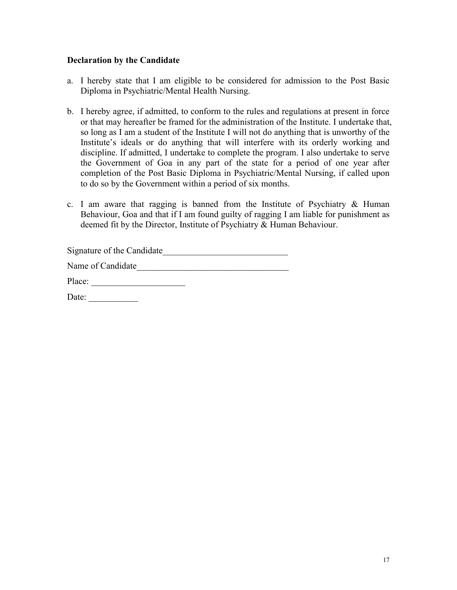#### **Declaration by the Candidate**

- a. I hereby state that I am eligible to be considered for admission to the Post Basic Diploma in Psychiatric/Mental Health Nursing.
- b. I hereby agree, if admitted, to conform to the rules and regulations at present in force or that may hereafter be framed for the administration of the Institute. I undertake that, so long as I am a student of the Institute I will not do anything that is unworthy of the Institute's ideals or do anything that will interfere with its orderly working and discipline. If admitted, I undertake to complete the program. I also undertake to serve the Government of Goa in any part of the state for a period of one year after completion of the Post Basic Diploma in Psychiatric/Mental Nursing, if called upon to do so by the Government within a period of six months.
- c. I am aware that ragging is banned from the Institute of Psychiatry  $\&$  Human Behaviour, Goa and that if I am found guilty of ragging I am liable for punishment as deemed fit by the Director, Institute of Psychiatry & Human Behaviour.

| Signature of the Candidate |  |
|----------------------------|--|
| Name of Candidate          |  |

Place:

Date: